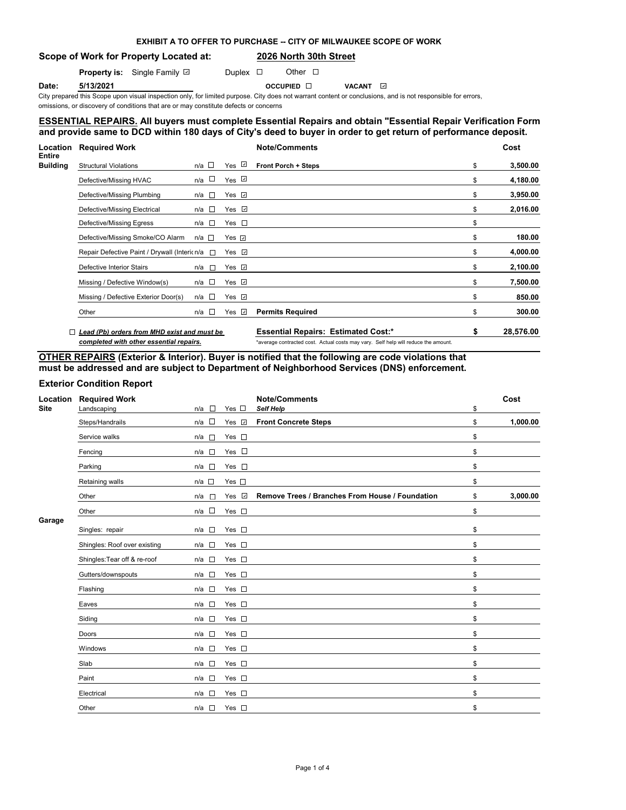# **EXHIBIT A TO OFFER TO PURCHASE -- CITY OF MILWAUKEE SCOPE OF WORK**

# **Scope of Work for Property Located at: 2026 North 30th Street**

**Property is:** Single Family **D** Duplex **D** Other D

**Date: 5/13/2021 Date: 5/13/2021 Date:** OCCUPIED ⊡ VACANT

City prepared this Scope upon visual inspection only, for limited purpose. City does not warrant content or conclusions, and is not responsible for errors, omissions, or discovery of conditions that are or may constitute defects or concerns

# **ESSENTIAL REPAIRS. All buyers must complete Essential Repairs and obtain "Essential Repair Verification Form" and provide same to DCD within 180 days of City's deed to buyer in order to get return of performance deposit.**

| <b>Location</b>                  | <b>Required Work</b>                         |                 |                    | <b>Note/Comments</b>                       |    | Cost      |  |
|----------------------------------|----------------------------------------------|-----------------|--------------------|--------------------------------------------|----|-----------|--|
| <b>Entire</b><br><b>Building</b> | <b>Structural Violations</b>                 | $n/a$ $\Box$    | Yes <i>⊡</i>       | <b>Front Porch + Steps</b>                 | \$ | 3,500.00  |  |
|                                  | Defective/Missing HVAC                       | n/a □           | $Yes$ $\Box$       |                                            | \$ | 4,180.00  |  |
|                                  | Defective/Missing Plumbing                   | n/a $\Box$      | Yes $\Box$         |                                            | S  | 3,950.00  |  |
|                                  | Defective/Missing Electrical                 | n/a □           | Yes $\Box$         |                                            | S  | 2,016.00  |  |
|                                  | Defective/Missing Egress                     | n/a $\square$   | Yes $\square$      |                                            | \$ |           |  |
|                                  | Defective/Missing Smoke/CO Alarm             | $n/a$ $\square$ | Yes $\Box$         |                                            | \$ | 180.00    |  |
|                                  | Repair Defective Paint / Drywall (Intericn/a |                 | Yes $\sqrt{ }$     |                                            | \$ | 4,000.00  |  |
|                                  | Defective Interior Stairs                    | n/a l⊡          | Yes $\Box$         |                                            | \$ | 2,100.00  |  |
|                                  | Missing / Defective Window(s)                | n/a □           | Yes $\Box$         |                                            | \$ | 7,500.00  |  |
|                                  | Missing / Defective Exterior Door(s)         | n/a $\square$   | $Yes \n$           |                                            | \$ | 850.00    |  |
|                                  | Other                                        | $n/a$ $\Box$    | Yes $\overline{v}$ | <b>Permits Required</b>                    | \$ | 300.00    |  |
|                                  | Lead (Pb) orders from MHD exist and must be  |                 |                    | <b>Essential Repairs: Estimated Cost:*</b> |    | 28,576.00 |  |

*completed with other essential repairs.* \*average contracted cost. Actual costs may vary. Self help will reduce the amount.

# **OTHER REPAIRS (Exterior & Interior). Buyer is notified that the following are code violations that must be addressed and are subject to Department of Neighborhood Services (DNS) enforcement.**

## **Exterior Condition Report**

| Location    | <b>Required Work</b>         |                                                                                                                              |               | <b>Note/Comments</b>                            | Cost           |
|-------------|------------------------------|------------------------------------------------------------------------------------------------------------------------------|---------------|-------------------------------------------------|----------------|
| <b>Site</b> | Landscaping                  | $\Box$<br>n/a                                                                                                                | Yes $\square$ | Self Help                                       | \$             |
|             | Steps/Handrails              | $\Box$<br>n/a                                                                                                                | Yes <b>☑</b>  | <b>Front Concrete Steps</b>                     | \$<br>1,000.00 |
|             | Service walks                | n/a<br>$\overline{a}$                                                                                                        | Yes $\square$ |                                                 | \$             |
|             | Fencing                      | $n/a$ $\square$                                                                                                              | Yes $\square$ |                                                 | \$             |
|             | Parking                      | $n/a$ $\square$                                                                                                              | Yes $\square$ |                                                 | \$             |
|             | Retaining walls              | n/a                                                                                                                          | Yes $\square$ |                                                 | \$             |
|             | Other                        | n/a<br>n a                                                                                                                   | Yes V         | Remove Trees / Branches From House / Foundation | \$<br>3,000.00 |
|             | Other                        | n/a $\square$                                                                                                                | Yes $\square$ |                                                 | \$             |
| Garage      |                              |                                                                                                                              |               |                                                 |                |
|             | Singles: repair              | n/a<br>$\Box$                                                                                                                | Yes $\square$ |                                                 | \$             |
|             | Shingles: Roof over existing | n/a<br>$\sim$                                                                                                                | Yes $\square$ |                                                 | \$             |
|             | Shingles: Tear off & re-roof | $n/a$ $\square$                                                                                                              | Yes $\square$ |                                                 | \$             |
|             | Gutters/downspouts           | n/a □                                                                                                                        | Yes $\square$ |                                                 | \$             |
|             | Flashing                     | $\sim$<br>n/a                                                                                                                | Yes $\square$ |                                                 | \$             |
|             | Eaves                        | n/a<br>$\mathcal{L}$                                                                                                         | Yes $\square$ |                                                 | \$             |
|             | Siding                       | n/a<br><b>The Contract of the Contract of the Contract of the Contract of the Contract of the Contract of the Contract o</b> | Yes $\square$ |                                                 | \$             |
|             | Doors                        | n/a<br>л                                                                                                                     | Yes $\square$ |                                                 | \$             |
|             | Windows                      | $\sim$<br>n/a                                                                                                                | Yes $\square$ |                                                 | \$             |
|             | Slab                         | n/a<br>$\overline{a}$                                                                                                        | Yes $\square$ |                                                 | \$             |
|             | Paint                        | n/a<br>1.63                                                                                                                  | Yes $\square$ |                                                 | \$             |
|             | Electrical                   | $n/a$ $\square$                                                                                                              | Yes $\square$ |                                                 | \$             |
|             | Other                        | n/a □                                                                                                                        | Yes $\square$ |                                                 | \$             |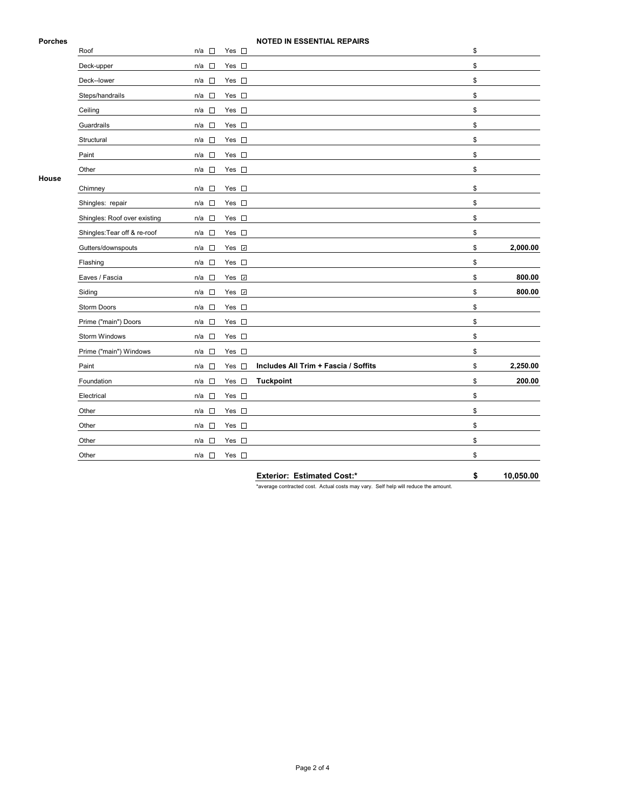### **Porches NOTED IN ESSENTIAL REPAIRS**

|       | Roof                         | $n/a$ $\square$                    | $\sim$<br>Yes                      |                                      | \$             |
|-------|------------------------------|------------------------------------|------------------------------------|--------------------------------------|----------------|
|       | Deck-upper                   | $n/a$ $\square$                    | Yes $\square$                      |                                      | \$             |
|       | Deck--lower                  | $n/a$ $\square$                    | Yes $\square$                      |                                      | \$             |
|       | Steps/handrails              | $n/a$ $\square$                    | Yes $\square$                      |                                      | \$             |
|       | Ceiling                      | $n/a$ $\square$                    | Yes $\square$                      |                                      | \$             |
|       | Guardrails                   | $\mathcal{L}_{\mathcal{A}}$<br>n/a | Yes<br>$\mathcal{L}_{\mathcal{A}}$ |                                      | \$             |
|       | Structural                   | $n/a$ $\square$                    | Yes $\square$                      |                                      | \$             |
|       | Paint                        | $n/a$ $\square$                    | Yes $\square$                      |                                      | \$             |
|       | Other                        | $\Box$<br>n/a                      | Yes $\square$                      |                                      | \$             |
| House | Chimney                      | $\mathcal{L}_{\rm{eff}}$<br>n/a    | Yes<br>$\mathcal{L}_{\rm{eff}}$    |                                      | \$             |
|       | Shingles: repair             | $\Box$<br>n/a                      | Yes $\square$                      |                                      | \$             |
|       | Shingles: Roof over existing | $n/a$ $\Box$                       | Yes $\square$                      |                                      | \$             |
|       | Shingles: Tear off & re-roof | n/a                                | Yes $\square$                      |                                      | \$             |
|       | Gutters/downspouts           | $n/a$ $\square$                    | Yes <b>☑</b>                       |                                      | \$<br>2,000.00 |
|       | Flashing                     | n/a                                | Yes $\square$                      |                                      | \$             |
|       | Eaves / Fascia               | $n/a$ $\square$                    | Yes <b>⊽</b>                       |                                      | \$<br>800.00   |
|       | Siding                       | $n/a$ $\square$                    | Yes $\overline{v}$                 |                                      | \$<br>800.00   |
|       | <b>Storm Doors</b>           | $n/a$ $\square$                    | Yes $\square$                      |                                      | \$             |
|       | Prime ("main") Doors         | $n/a$ $\square$                    | Yes $\square$                      |                                      | \$             |
|       | Storm Windows                | $\mathcal{L}_{\rm{eff}}$<br>n/a    | Yes $\square$                      |                                      | \$             |
|       | Prime ("main") Windows       | $n/a$ $\square$                    | Yes $\square$                      |                                      | \$             |
|       | Paint                        | $n/a$ $\square$                    | $\Box$<br>Yes                      | Includes All Trim + Fascia / Soffits | \$<br>2,250.00 |
|       | Foundation                   | n/a                                | Yes $\square$                      | <b>Tuckpoint</b>                     | \$<br>200.00   |
|       | Electrical                   | $n/a$ $\square$                    | Yes $\square$                      |                                      | \$             |
|       | Other                        | n/a                                | Yes $\square$                      |                                      | \$             |
|       | Other                        | $n/a$ $\square$                    | Yes $\square$                      |                                      | \$             |
|       | Other                        | $\mathcal{L}(\cdot)$<br>n/a        | Yes $\square$                      |                                      | \$             |
|       | Other                        | n/a<br>$\overline{\phantom{a}}$    | Yes $\square$                      |                                      | \$             |
|       |                              |                                    |                                    |                                      |                |

**Exterior: Estimated Cost:\* \$ 10,050.00**

\*average contracted cost. Actual costs may vary. Self help will reduce the amount.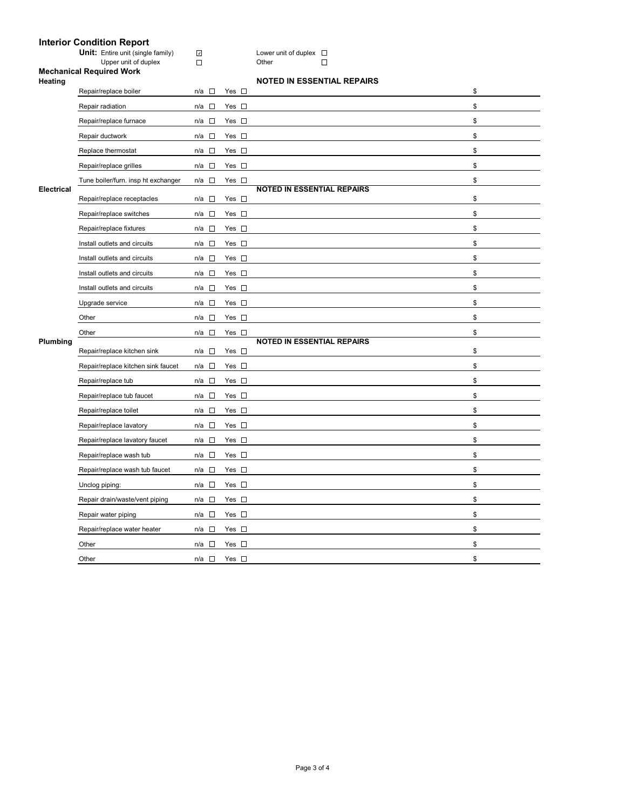## **Interior Condition Report**

**Unit:** Entire unit (single family)  $\Box$  **Lower unit of duplex** 

#### Upper unit of duplex Domeston Communication Communication Communication Communication Communication Communication Communication Communication Communication Communication Communication Communication Communication Communicat **Mechanical Required Work**

| Heating           |                                     |                                    |               | <b>NOTED IN ESSENTIAL REPAIRS</b> |    |
|-------------------|-------------------------------------|------------------------------------|---------------|-----------------------------------|----|
|                   | Repair/replace boiler               | n/a □                              | Yes $\square$ |                                   | \$ |
|                   | Repair radiation                    | $\Box$<br>n/a                      | Yes $\square$ |                                   | \$ |
|                   | Repair/replace furnace              | $\sim$<br>n/a                      | Yes $\square$ |                                   | \$ |
|                   | Repair ductwork                     | $n/a$ $\square$                    | Yes $\square$ |                                   | \$ |
|                   | Replace thermostat                  | $n/a$ $\square$                    | Yes $\square$ |                                   | \$ |
|                   | Repair/replace grilles              | n/a $\square$                      | Yes $\square$ |                                   | \$ |
|                   | Tune boiler/furn. insp ht exchanger | n/a<br>$\Box$                      | Yes $\square$ |                                   | \$ |
| <b>Electrical</b> | Repair/replace receptacles          | n/a<br><b>D</b>                    | Yes $\square$ | <b>NOTED IN ESSENTIAL REPAIRS</b> | \$ |
|                   | Repair/replace switches             | n/a $\square$                      | Yes $\square$ |                                   | \$ |
|                   | Repair/replace fixtures             | $n/a$ $\square$                    | Yes $\square$ |                                   | \$ |
|                   | Install outlets and circuits        | n/a □                              | Yes $\square$ |                                   | \$ |
|                   | Install outlets and circuits        | $\Box$<br>n/a                      | Yes $\square$ |                                   | \$ |
|                   | Install outlets and circuits        | n/a<br>□                           | Yes $\square$ |                                   | \$ |
|                   | Install outlets and circuits        | n/a<br>$\overline{\phantom{a}}$    | Yes $\square$ |                                   | \$ |
|                   | Upgrade service                     | $\Box$<br>n/a                      | Yes $\square$ |                                   | \$ |
|                   | Other                               | $\Box$<br>n/a                      | Yes $\square$ |                                   | \$ |
|                   |                                     |                                    |               |                                   |    |
|                   | Other                               | $n/a$ $\square$                    | Yes $\square$ |                                   | \$ |
| Plumbing          | Repair/replace kitchen sink         | n/a □                              | Yes $\square$ | <b>NOTED IN ESSENTIAL REPAIRS</b> | \$ |
|                   | Repair/replace kitchen sink faucet  | n/a □                              | Yes $\square$ |                                   | \$ |
|                   | Repair/replace tub                  | n/a $\square$                      | Yes $\square$ |                                   | \$ |
|                   | Repair/replace tub faucet           | $\sim$<br>n/a                      | Yes $\square$ |                                   | \$ |
|                   | Repair/replace toilet               | n/a<br>$\Box$                      | Yes $\square$ |                                   | \$ |
|                   | Repair/replace lavatory             | $n/a$ $\square$                    | Yes $\square$ |                                   | \$ |
|                   | Repair/replace lavatory faucet      | $\mathcal{L}(\mathcal{A})$<br>n/a  | Yes $\square$ |                                   | \$ |
|                   | Repair/replace wash tub             | $\overline{\phantom{a}}$<br>n/a    | Yes $\square$ |                                   | \$ |
|                   | Repair/replace wash tub faucet      | n/a<br>$\Box$                      | Yes $\square$ |                                   | \$ |
|                   | Unclog piping:                      | n/a □                              | Yes $\square$ |                                   | \$ |
|                   | Repair drain/waste/vent piping      | n/a<br>$\mathcal{L}_{\mathcal{A}}$ | Yes $\square$ |                                   | \$ |
|                   | Repair water piping                 | $n/a$ $\square$                    | Yes $\square$ |                                   | \$ |
|                   | Repair/replace water heater         | $\Box$<br>n/a                      | Yes $\square$ |                                   | \$ |
|                   | Other                               | $\Box$<br>n/a                      | Yes $\square$ |                                   | \$ |